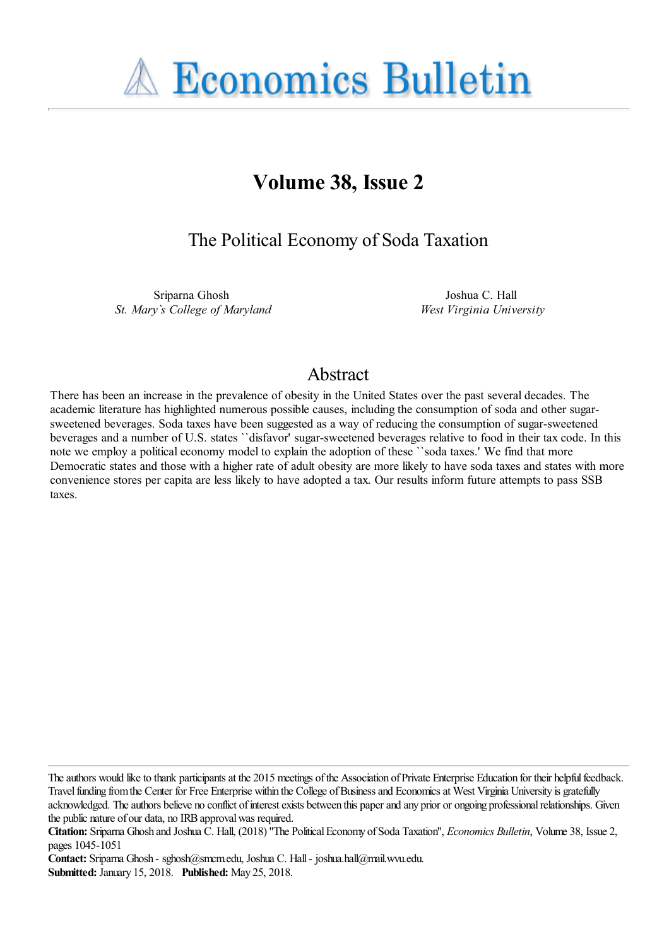**A Economics Bulletin** 

# **Volume 38, Issue 2**

The Political Economy of Soda Taxation

Sriparna Ghosh *St. Mary`s College of Maryland*

Joshua C. Hall *West Virginia University*

## Abstract

There has been an increase in the prevalence of obesity in the United States over the past several decades. The academic literature has highlighted numerous possible causes, including the consumption of soda and other sugarsweetened beverages. Soda taxes have been suggested as a way of reducing the consumption of sugar-sweetened beverages and a number of U.S. states ``disfavor' sugar-sweetened beverages relative to food in their tax code. In this note we employ a political economy model to explain the adoption of these ``soda taxes.' We find that more Democratic states and those with a higher rate of adult obesity are more likely to have soda taxes and states with more convenience stores per capita are less likely to have adopted a tax. Our results inform future attempts to pass SSB taxes.

The authors would like to thank participants at the 2015 meetings of the Association of Private Enterprise Education for their helpful feedback. Travel funding from the Center for Free Enterprise within the College of Business and Economics at West Virginia University is gratefully acknowledged. The authors believe no conflict of interest exists between this paper and any prior or ongoing professional relationships. Given the public nature of our data, no IRB approval was required.

Contact: Sriparna Ghosh - sghosh@smcm.edu, Joshua C. Hall - joshua.hall@mail.wvu.edu. **Submitted:** January 15, 2018. **Published:** May 25, 2018.

**Citation:** Sriparna Ghosh and Joshua C. Hall, (2018) ''The Political Economy of Soda Taxation'', *Economics Bulletin*, Volume 38, Issue 2, pages 1045-1051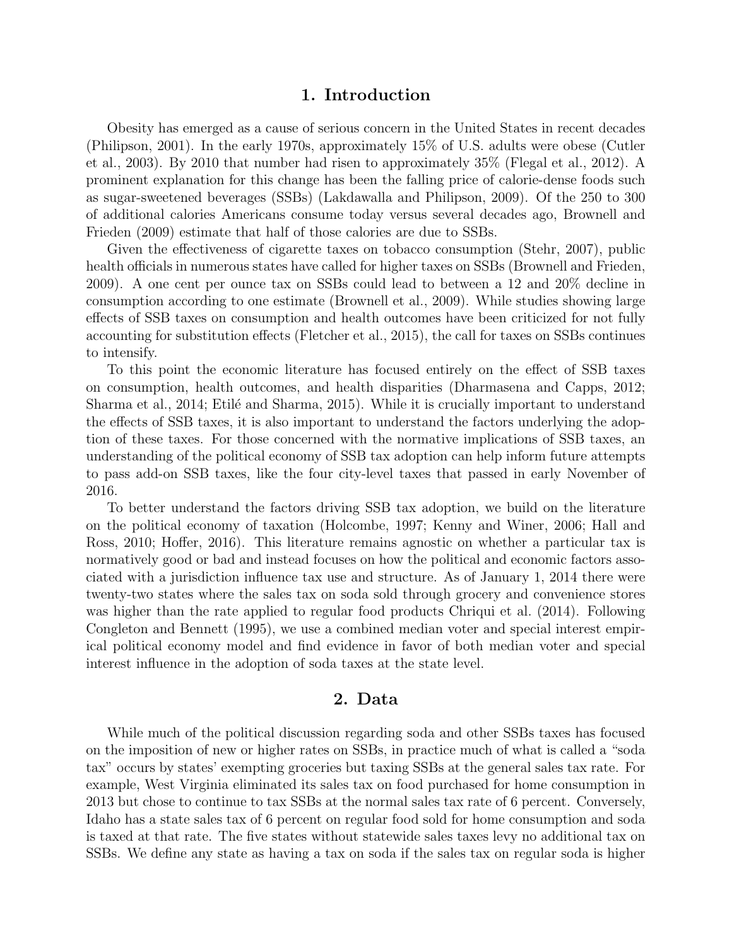#### 1. Introduction

Obesity has emerged as a cause of serious concern in the United States in recent decades (Philipson, 2001). In the early 1970s, approximately 15% of U.S. adults were obese (Cutler et al., 2003). By 2010 that number had risen to approximately 35% (Flegal et al., 2012). A prominent explanation for this change has been the falling price of calorie-dense foods such as sugar-sweetened beverages (SSBs) (Lakdawalla and Philipson, 2009). Of the 250 to 300 of additional calories Americans consume today versus several decades ago, Brownell and Frieden (2009) estimate that half of those calories are due to SSBs.

Given the effectiveness of cigarette taxes on tobacco consumption (Stehr, 2007), public health officials in numerous states have called for higher taxes on SSBs (Brownell and Frieden, 2009). A one cent per ounce tax on SSBs could lead to between a 12 and 20% decline in consumption according to one estimate (Brownell et al., 2009). While studies showing large effects of SSB taxes on consumption and health outcomes have been criticized for not fully accounting for substitution effects (Fletcher et al., 2015), the call for taxes on SSBs continues to intensify.

To this point the economic literature has focused entirely on the effect of SSB taxes on consumption, health outcomes, and health disparities (Dharmasena and Capps, 2012; Sharma et al., 2014; Etilé and Sharma, 2015). While it is crucially important to understand the effects of SSB taxes, it is also important to understand the factors underlying the adoption of these taxes. For those concerned with the normative implications of SSB taxes, an understanding of the political economy of SSB tax adoption can help inform future attempts to pass add-on SSB taxes, like the four city-level taxes that passed in early November of 2016.

To better understand the factors driving SSB tax adoption, we build on the literature on the political economy of taxation (Holcombe, 1997; Kenny and Winer, 2006; Hall and Ross, 2010; Hoffer, 2016). This literature remains agnostic on whether a particular tax is normatively good or bad and instead focuses on how the political and economic factors associated with a jurisdiction influence tax use and structure. As of January 1, 2014 there were twenty-two states where the sales tax on soda sold through grocery and convenience stores was higher than the rate applied to regular food products Chriqui et al. (2014). Following Congleton and Bennett (1995), we use a combined median voter and special interest empirical political economy model and find evidence in favor of both median voter and special interest influence in the adoption of soda taxes at the state level.

#### 2. Data

While much of the political discussion regarding soda and other SSBs taxes has focused on the imposition of new or higher rates on SSBs, in practice much of what is called a "soda tax" occurs by states' exempting groceries but taxing SSBs at the general sales tax rate. For example, West Virginia eliminated its sales tax on food purchased for home consumption in 2013 but chose to continue to tax SSBs at the normal sales tax rate of 6 percent. Conversely, Idaho has a state sales tax of 6 percent on regular food sold for home consumption and soda is taxed at that rate. The five states without statewide sales taxes levy no additional tax on SSBs. We define any state as having a tax on soda if the sales tax on regular soda is higher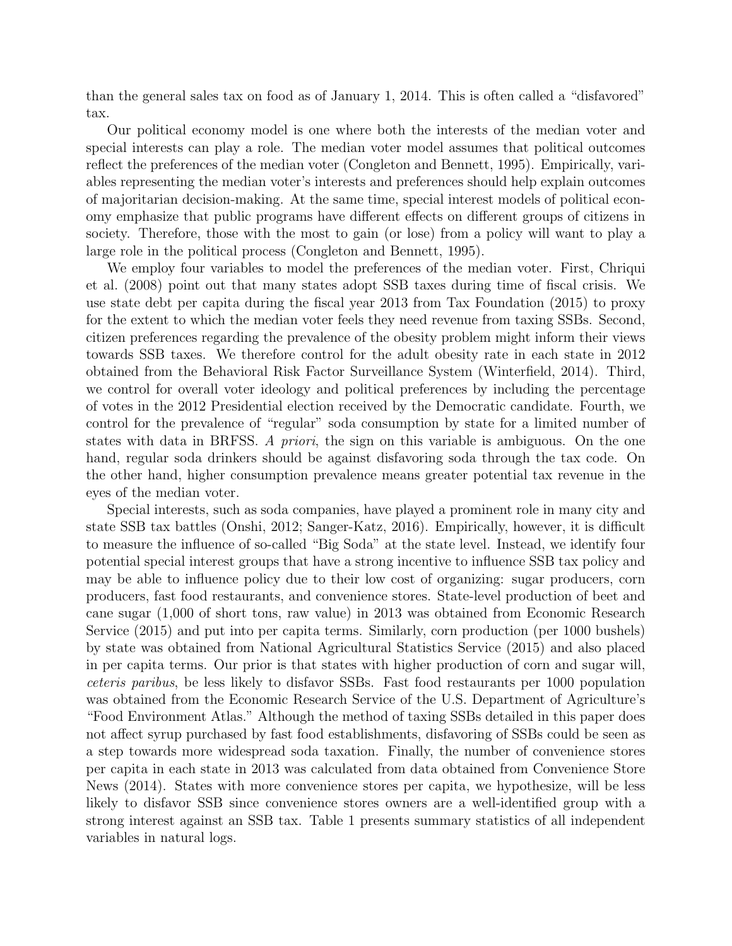than the general sales tax on food as of January 1, 2014. This is often called a "disfavored" tax.

Our political economy model is one where both the interests of the median voter and special interests can play a role. The median voter model assumes that political outcomes reflect the preferences of the median voter (Congleton and Bennett, 1995). Empirically, variables representing the median voter's interests and preferences should help explain outcomes of majoritarian decision-making. At the same time, special interest models of political economy emphasize that public programs have different effects on different groups of citizens in society. Therefore, those with the most to gain (or lose) from a policy will want to play a large role in the political process (Congleton and Bennett, 1995).

We employ four variables to model the preferences of the median voter. First, Chriqui et al. (2008) point out that many states adopt SSB taxes during time of fiscal crisis. We use state debt per capita during the fiscal year 2013 from Tax Foundation (2015) to proxy for the extent to which the median voter feels they need revenue from taxing SSBs. Second, citizen preferences regarding the prevalence of the obesity problem might inform their views towards SSB taxes. We therefore control for the adult obesity rate in each state in 2012 obtained from the Behavioral Risk Factor Surveillance System (Winterfield, 2014). Third, we control for overall voter ideology and political preferences by including the percentage of votes in the 2012 Presidential election received by the Democratic candidate. Fourth, we control for the prevalence of "regular" soda consumption by state for a limited number of states with data in BRFSS. A priori, the sign on this variable is ambiguous. On the one hand, regular soda drinkers should be against disfavoring soda through the tax code. On the other hand, higher consumption prevalence means greater potential tax revenue in the eyes of the median voter.

Special interests, such as soda companies, have played a prominent role in many city and state SSB tax battles (Onshi, 2012; Sanger-Katz, 2016). Empirically, however, it is difficult to measure the influence of so-called "Big Soda" at the state level. Instead, we identify four potential special interest groups that have a strong incentive to influence SSB tax policy and may be able to influence policy due to their low cost of organizing: sugar producers, corn producers, fast food restaurants, and convenience stores. State-level production of beet and cane sugar (1,000 of short tons, raw value) in 2013 was obtained from Economic Research Service (2015) and put into per capita terms. Similarly, corn production (per 1000 bushels) by state was obtained from National Agricultural Statistics Service (2015) and also placed in per capita terms. Our prior is that states with higher production of corn and sugar will, ceteris paribus, be less likely to disfavor SSBs. Fast food restaurants per 1000 population was obtained from the Economic Research Service of the U.S. Department of Agriculture's "Food Environment Atlas." Although the method of taxing SSBs detailed in this paper does not affect syrup purchased by fast food establishments, disfavoring of SSBs could be seen as a step towards more widespread soda taxation. Finally, the number of convenience stores per capita in each state in 2013 was calculated from data obtained from Convenience Store News (2014). States with more convenience stores per capita, we hypothesize, will be less likely to disfavor SSB since convenience stores owners are a well-identified group with a strong interest against an SSB tax. Table 1 presents summary statistics of all independent variables in natural logs.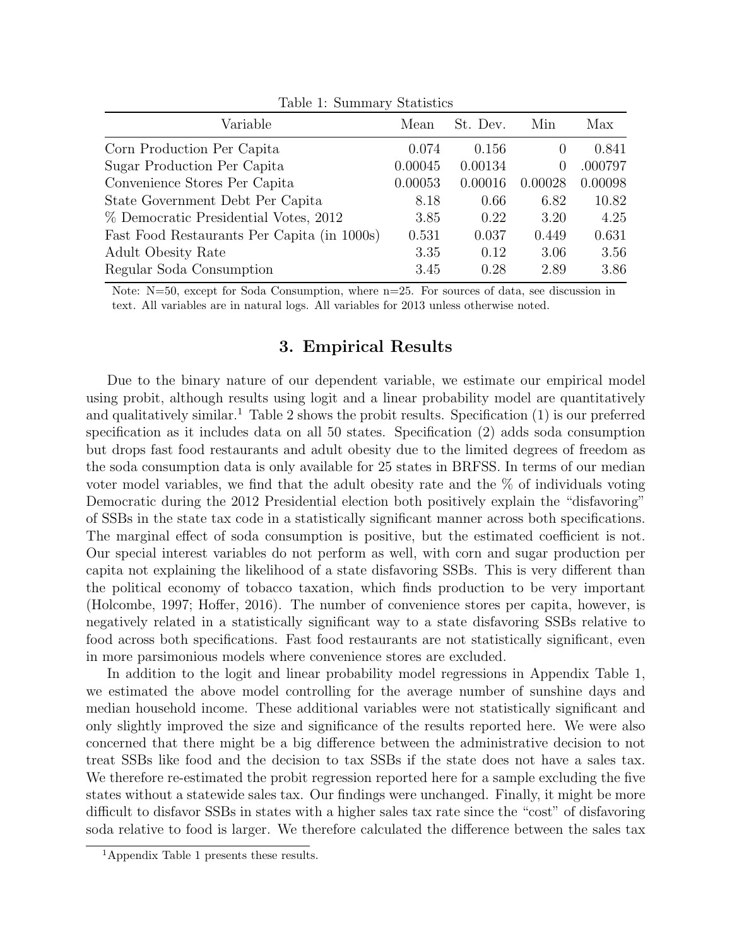| Variable                                    | Mean    | St. Dev. | Min              | Max     |
|---------------------------------------------|---------|----------|------------------|---------|
| Corn Production Per Capita                  | 0.074   | 0.156    | $\left( \right)$ | 0.841   |
| Sugar Production Per Capita                 | 0.00045 | 0.00134  | $\theta$         | .000797 |
| Convenience Stores Per Capita               | 0.00053 | 0.00016  | 0.00028          | 0.00098 |
| State Government Debt Per Capita            | 8.18    | 0.66     | 6.82             | 10.82   |
| % Democratic Presidential Votes, 2012       | 3.85    | 0.22     | 3.20             | 4.25    |
| Fast Food Restaurants Per Capita (in 1000s) | 0.531   | 0.037    | 0.449            | 0.631   |
| <b>Adult Obesity Rate</b>                   | 3.35    | 0.12     | 3.06             | 3.56    |
| Regular Soda Consumption                    | 3.45    | 0.28     | 2.89             | 3.86    |

Table 1: Summary Statistics

Note:  $N=50$ , except for Soda Consumption, where  $n=25$ . For sources of data, see discussion in text. All variables are in natural logs. All variables for 2013 unless otherwise noted.

## 3. Empirical Results

Due to the binary nature of our dependent variable, we estimate our empirical model using probit, although results using logit and a linear probability model are quantitatively and qualitatively similar.<sup>1</sup> Table 2 shows the probit results. Specification  $(1)$  is our preferred specification as it includes data on all 50 states. Specification (2) adds soda consumption but drops fast food restaurants and adult obesity due to the limited degrees of freedom as the soda consumption data is only available for 25 states in BRFSS. In terms of our median voter model variables, we find that the adult obesity rate and the % of individuals voting Democratic during the 2012 Presidential election both positively explain the "disfavoring" of SSBs in the state tax code in a statistically significant manner across both specifications. The marginal effect of soda consumption is positive, but the estimated coefficient is not. Our special interest variables do not perform as well, with corn and sugar production per capita not explaining the likelihood of a state disfavoring SSBs. This is very different than the political economy of tobacco taxation, which finds production to be very important (Holcombe, 1997; Hoffer, 2016). The number of convenience stores per capita, however, is negatively related in a statistically significant way to a state disfavoring SSBs relative to food across both specifications. Fast food restaurants are not statistically significant, even in more parsimonious models where convenience stores are excluded.

In addition to the logit and linear probability model regressions in Appendix Table 1, we estimated the above model controlling for the average number of sunshine days and median household income. These additional variables were not statistically significant and only slightly improved the size and significance of the results reported here. We were also concerned that there might be a big difference between the administrative decision to not treat SSBs like food and the decision to tax SSBs if the state does not have a sales tax. We therefore re-estimated the probit regression reported here for a sample excluding the five states without a statewide sales tax. Our findings were unchanged. Finally, it might be more difficult to disfavor SSBs in states with a higher sales tax rate since the "cost" of disfavoring soda relative to food is larger. We therefore calculated the difference between the sales tax

<sup>1</sup>Appendix Table 1 presents these results.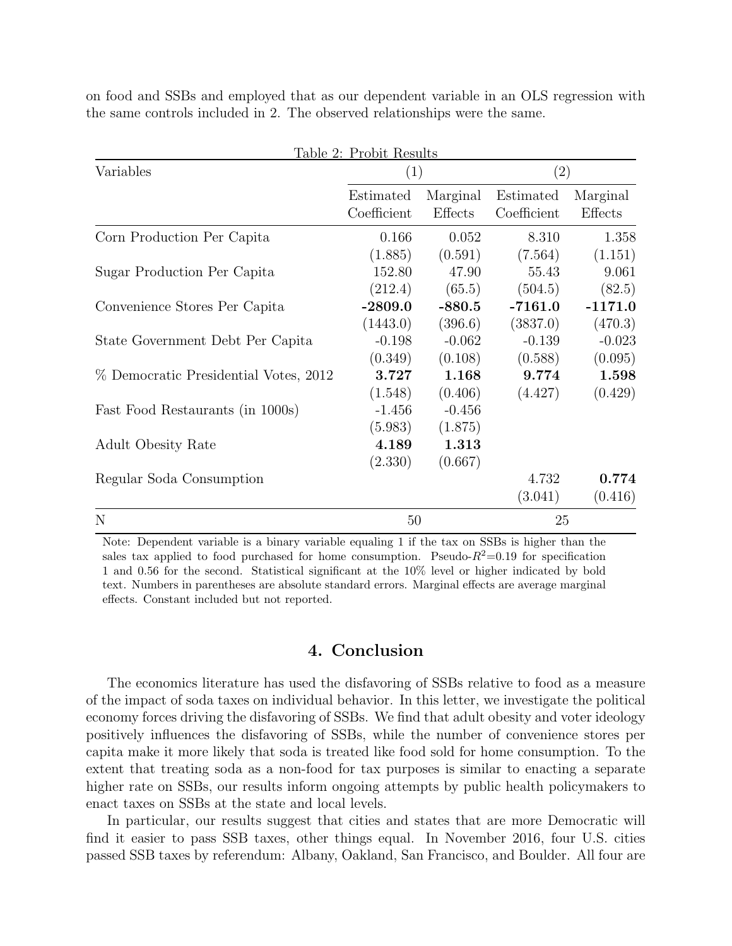|  |                                                                            |  |  |  | on food and SSBs and employed that as our dependent variable in an OLS regression with |  |
|--|----------------------------------------------------------------------------|--|--|--|----------------------------------------------------------------------------------------|--|
|  | the same controls included in 2. The observed relationships were the same. |  |  |  |                                                                                        |  |

|                                       | Table 2: Probit Results |          |             |           |  |
|---------------------------------------|-------------------------|----------|-------------|-----------|--|
| Variables                             | (1)                     |          | (2)         |           |  |
|                                       | Estimated               | Marginal | Estimated   | Marginal  |  |
|                                       | Coefficient             | Effects  | Coefficient | Effects   |  |
| Corn Production Per Capita            | 0.166                   | 0.052    | 8.310       | 1.358     |  |
|                                       | (1.885)                 | (0.591)  | (7.564)     | (1.151)   |  |
| Sugar Production Per Capita           | 152.80                  | 47.90    | 55.43       | 9.061     |  |
|                                       | (212.4)                 | (65.5)   | (504.5)     | (82.5)    |  |
| Convenience Stores Per Capita         | $-2809.0$               | $-880.5$ | $-7161.0$   | $-1171.0$ |  |
|                                       | (1443.0)                | (396.6)  | (3837.0)    | (470.3)   |  |
| State Government Debt Per Capita      | $-0.198$                | $-0.062$ | $-0.139$    | $-0.023$  |  |
|                                       | (0.349)                 | (0.108)  | (0.588)     | (0.095)   |  |
| % Democratic Presidential Votes, 2012 | 3.727                   | 1.168    | 9.774       | 1.598     |  |
|                                       | (1.548)                 | (0.406)  | (4.427)     | (0.429)   |  |
| Fast Food Restaurants (in 1000s)      | $-1.456$                | $-0.456$ |             |           |  |
|                                       | (5.983)                 | (1.875)  |             |           |  |
| <b>Adult Obesity Rate</b>             | 4.189                   | 1.313    |             |           |  |
|                                       | (2.330)                 | (0.667)  |             |           |  |
| Regular Soda Consumption              |                         |          | 4.732       | 0.774     |  |
|                                       |                         |          | (3.041)     | (0.416)   |  |
| $\mathbf N$                           | 50                      |          | 25          |           |  |

Note: Dependent variable is a binary variable equaling 1 if the tax on SSBs is higher than the sales tax applied to food purchased for home consumption. Pseudo- $R^2=0.19$  for specification 1 and 0.56 for the second. Statistical significant at the 10% level or higher indicated by bold text. Numbers in parentheses are absolute standard errors. Marginal effects are average marginal effects. Constant included but not reported.

### 4. Conclusion

The economics literature has used the disfavoring of SSBs relative to food as a measure of the impact of soda taxes on individual behavior. In this letter, we investigate the political economy forces driving the disfavoring of SSBs. We find that adult obesity and voter ideology positively influences the disfavoring of SSBs, while the number of convenience stores per capita make it more likely that soda is treated like food sold for home consumption. To the extent that treating soda as a non-food for tax purposes is similar to enacting a separate higher rate on SSBs, our results inform ongoing attempts by public health policymakers to enact taxes on SSBs at the state and local levels.

In particular, our results suggest that cities and states that are more Democratic will find it easier to pass SSB taxes, other things equal. In November 2016, four U.S. cities passed SSB taxes by referendum: Albany, Oakland, San Francisco, and Boulder. All four are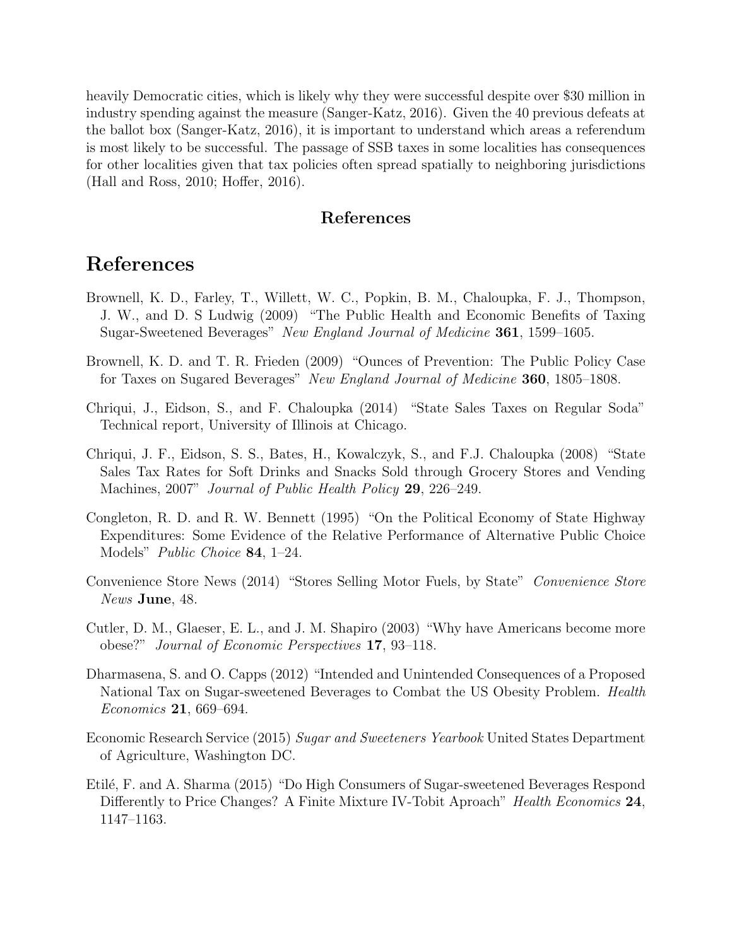heavily Democratic cities, which is likely why they were successful despite over \$30 million in industry spending against the measure (Sanger-Katz, 2016). Given the 40 previous defeats at the ballot box (Sanger-Katz, 2016), it is important to understand which areas a referendum is most likely to be successful. The passage of SSB taxes in some localities has consequences for other localities given that tax policies often spread spatially to neighboring jurisdictions (Hall and Ross, 2010; Hoffer, 2016).

### References

# References

- Brownell, K. D., Farley, T., Willett, W. C., Popkin, B. M., Chaloupka, F. J., Thompson, J. W., and D. S Ludwig (2009) "The Public Health and Economic Benefits of Taxing Sugar-Sweetened Beverages" New England Journal of Medicine 361, 1599–1605.
- Brownell, K. D. and T. R. Frieden (2009) "Ounces of Prevention: The Public Policy Case for Taxes on Sugared Beverages" New England Journal of Medicine 360, 1805–1808.
- Chriqui, J., Eidson, S., and F. Chaloupka (2014) "State Sales Taxes on Regular Soda" Technical report, University of Illinois at Chicago.
- Chriqui, J. F., Eidson, S. S., Bates, H., Kowalczyk, S., and F.J. Chaloupka (2008) "State Sales Tax Rates for Soft Drinks and Snacks Sold through Grocery Stores and Vending Machines, 2007" Journal of Public Health Policy 29, 226–249.
- Congleton, R. D. and R. W. Bennett (1995) "On the Political Economy of State Highway Expenditures: Some Evidence of the Relative Performance of Alternative Public Choice Models" Public Choice 84, 1–24.
- Convenience Store News (2014) "Stores Selling Motor Fuels, by State" Convenience Store News June, 48.
- Cutler, D. M., Glaeser, E. L., and J. M. Shapiro (2003) "Why have Americans become more obese?" Journal of Economic Perspectives 17, 93–118.
- Dharmasena, S. and O. Capps (2012) "Intended and Unintended Consequences of a Proposed National Tax on Sugar-sweetened Beverages to Combat the US Obesity Problem. Health Economics 21, 669–694.
- Economic Research Service (2015) Sugar and Sweeteners Yearbook United States Department of Agriculture, Washington DC.
- Etil´e, F. and A. Sharma (2015) "Do High Consumers of Sugar-sweetened Beverages Respond Differently to Price Changes? A Finite Mixture IV-Tobit Aproach" Health Economics 24, 1147–1163.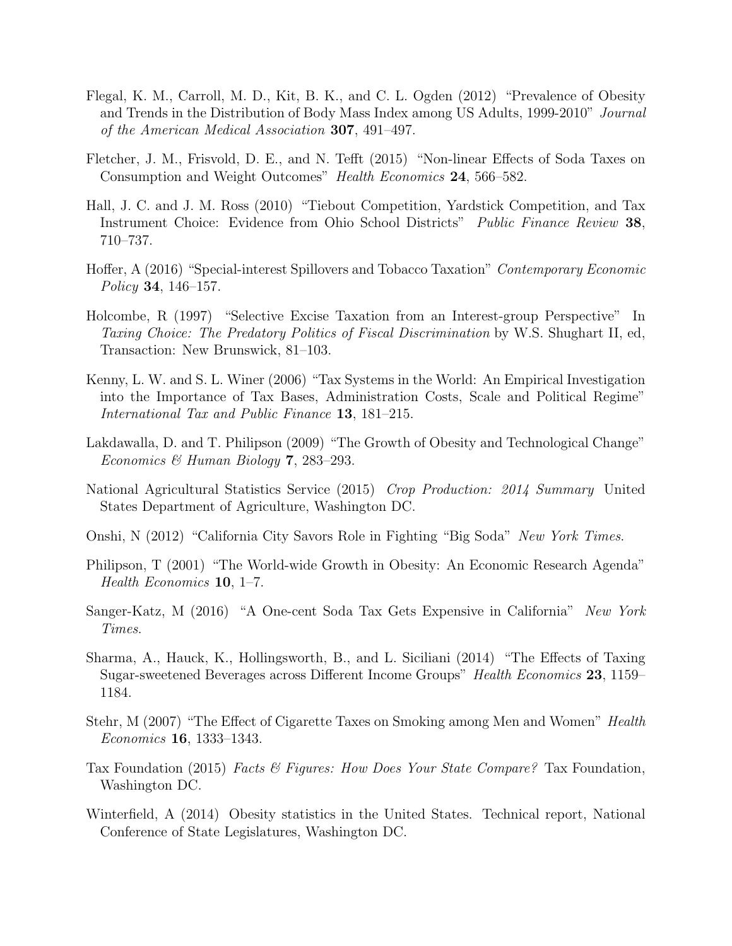- Flegal, K. M., Carroll, M. D., Kit, B. K., and C. L. Ogden (2012) "Prevalence of Obesity and Trends in the Distribution of Body Mass Index among US Adults, 1999-2010" Journal of the American Medical Association 307, 491–497.
- Fletcher, J. M., Frisvold, D. E., and N. Tefft (2015) "Non-linear Effects of Soda Taxes on Consumption and Weight Outcomes" Health Economics 24, 566–582.
- Hall, J. C. and J. M. Ross (2010) "Tiebout Competition, Yardstick Competition, and Tax Instrument Choice: Evidence from Ohio School Districts" Public Finance Review 38, 710–737.
- Hoffer, A (2016) "Special-interest Spillovers and Tobacco Taxation" Contemporary Economic Policy 34, 146–157.
- Holcombe, R (1997) "Selective Excise Taxation from an Interest-group Perspective" In Taxing Choice: The Predatory Politics of Fiscal Discrimination by W.S. Shughart II, ed, Transaction: New Brunswick, 81–103.
- Kenny, L. W. and S. L. Winer (2006) "Tax Systems in the World: An Empirical Investigation into the Importance of Tax Bases, Administration Costs, Scale and Political Regime" International Tax and Public Finance 13, 181–215.
- Lakdawalla, D. and T. Philipson (2009) "The Growth of Obesity and Technological Change" Economics & Human Biology 7, 283–293.
- National Agricultural Statistics Service (2015) Crop Production: 2014 Summary United States Department of Agriculture, Washington DC.
- Onshi, N (2012) "California City Savors Role in Fighting "Big Soda" New York Times.
- Philipson, T (2001) "The World-wide Growth in Obesity: An Economic Research Agenda" Health Economics 10, 1–7.
- Sanger-Katz, M (2016) "A One-cent Soda Tax Gets Expensive in California" New York Times.
- Sharma, A., Hauck, K., Hollingsworth, B., and L. Siciliani (2014) "The Effects of Taxing Sugar-sweetened Beverages across Different Income Groups" Health Economics 23, 1159– 1184.
- Stehr, M (2007) "The Effect of Cigarette Taxes on Smoking among Men and Women" *Health* Economics 16, 1333–1343.
- Tax Foundation (2015) Facts & Figures: How Does Your State Compare? Tax Foundation, Washington DC.
- Winterfield, A (2014) Obesity statistics in the United States. Technical report, National Conference of State Legislatures, Washington DC.